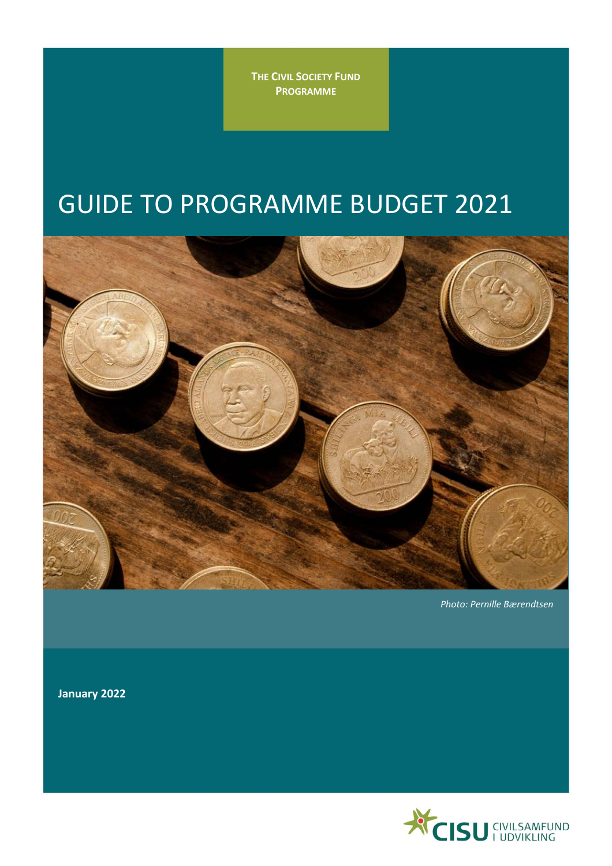**THE CIVIL SOCIETY FUND PROGRAMME**

# GUIDE TO PROGRAMME BUDGET 2021



*Photo: Pernille Bærendtsen*

**January 2022**

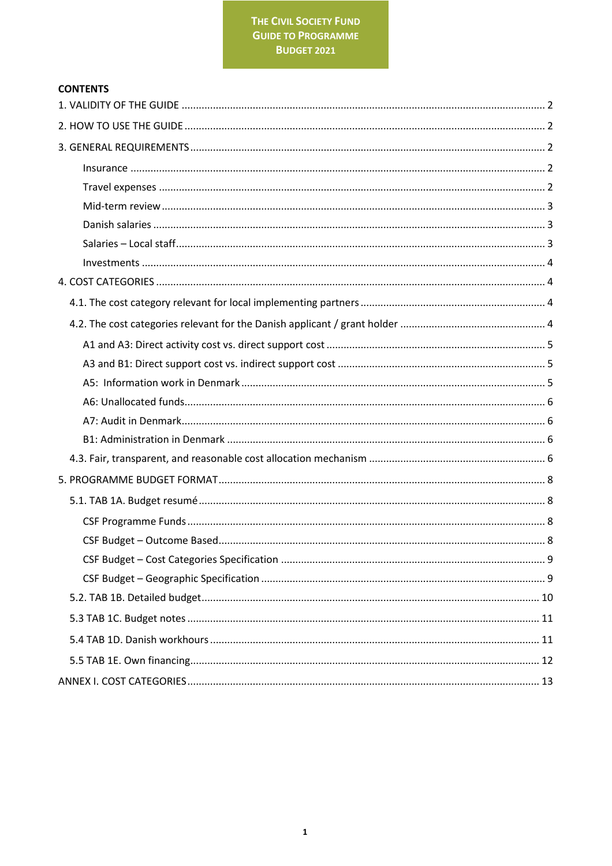# **CONTENTS**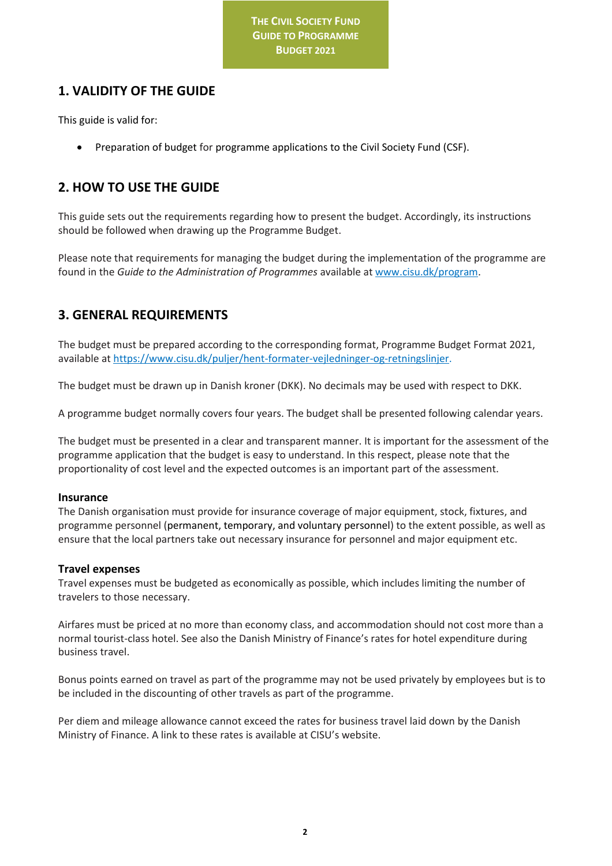# <span id="page-2-0"></span>**1. VALIDITY OF THE GUIDE**

This guide is valid for:

• Preparation of budget for programme applications to the Civil Society Fund (CSF).

# <span id="page-2-1"></span>**2. HOW TO USE THE GUIDE**

This guide sets out the requirements regarding how to present the budget. Accordingly, its instructions should be followed when drawing up the Programme Budget.

Please note that requirements for managing the budget during the implementation of the programme are found in the *Guide to the Administration of Programmes* available a[t www.cisu.dk/program.](http://www.cisu.dk/program)

# <span id="page-2-2"></span>**3. GENERAL REQUIREMENTS**

The budget must be prepared according to the corresponding format, Programme Budget Format 2021, available at [https://www.cisu.dk/puljer/hent-formater-vejledninger-og-retningslinjer.](https://www.cisu.dk/puljer/hent-formater-vejledninger-og-retningslinjer)

The budget must be drawn up in Danish kroner (DKK). No decimals may be used with respect to DKK.

A programme budget normally covers four years. The budget shall be presented following calendar years.

The budget must be presented in a clear and transparent manner. It is important for the assessment of the programme application that the budget is easy to understand. In this respect, please note that the proportionality of cost level and the expected outcomes is an important part of the assessment.

## <span id="page-2-3"></span>**Insurance**

The Danish organisation must provide for insurance coverage of major equipment, stock, fixtures, and programme personnel (permanent, temporary, and voluntary personnel) to the extent possible, as well as ensure that the local partners take out necessary insurance for personnel and major equipment etc.

## <span id="page-2-4"></span>**Travel expenses**

Travel expenses must be budgeted as economically as possible, which includes limiting the number of travelers to those necessary.

Airfares must be priced at no more than economy class, and accommodation should not cost more than a normal tourist-class hotel. See also the Danish Ministry of Finance's rates for hotel expenditure during business travel.

Bonus points earned on travel as part of the programme may not be used privately by employees but is to be included in the discounting of other travels as part of the programme.

Per diem and mileage allowance cannot exceed the rates for business travel laid down by the Danish Ministry of Finance. A link to these rates is available at CISU's website.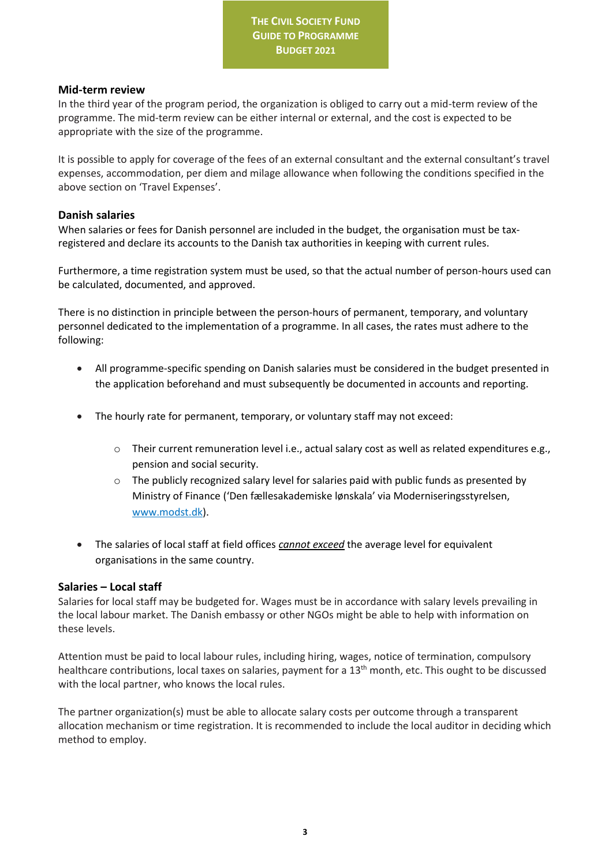## <span id="page-3-0"></span>**Mid-term review**

In the third year of the program period, the organization is obliged to carry out a mid-term review of the programme. The mid-term review can be either internal or external, and the cost is expected to be appropriate with the size of the programme.

It is possible to apply for coverage of the fees of an external consultant and the external consultant's travel expenses, accommodation, per diem and milage allowance when following the conditions specified in the above section on 'Travel Expenses'.

## <span id="page-3-1"></span>**Danish salaries**

When salaries or fees for Danish personnel are included in the budget, the organisation must be taxregistered and declare its accounts to the Danish tax authorities in keeping with current rules.

Furthermore, a time registration system must be used, so that the actual number of person-hours used can be calculated, documented, and approved.

There is no distinction in principle between the person-hours of permanent, temporary, and voluntary personnel dedicated to the implementation of a programme. In all cases, the rates must adhere to the following:

- All programme-specific spending on Danish salaries must be considered in the budget presented in the application beforehand and must subsequently be documented in accounts and reporting.
- The hourly rate for permanent, temporary, or voluntary staff may not exceed:
	- o Their current remuneration level i.e., actual salary cost as well as related expenditures e.g., pension and social security.
	- $\circ$  The publicly recognized salary level for salaries paid with public funds as presented by Ministry of Finance ('Den fællesakademiske lønskala' via Moderniseringsstyrelsen, [www.modst.dk\)](http://www.modst.dk/).
- The salaries of local staff at field offices *cannot exceed* the average level for equivalent organisations in the same country.

# <span id="page-3-2"></span>**Salaries – Local staff**

Salaries for local staff may be budgeted for. Wages must be in accordance with salary levels prevailing in the local labour market. The Danish embassy or other NGOs might be able to help with information on these levels.

Attention must be paid to local labour rules, including hiring, wages, notice of termination, compulsory healthcare contributions, local taxes on salaries, payment for a 13<sup>th</sup> month, etc. This ought to be discussed with the local partner, who knows the local rules.

The partner organization(s) must be able to allocate salary costs per outcome through a transparent allocation mechanism or time registration. It is recommended to include the local auditor in deciding which method to employ.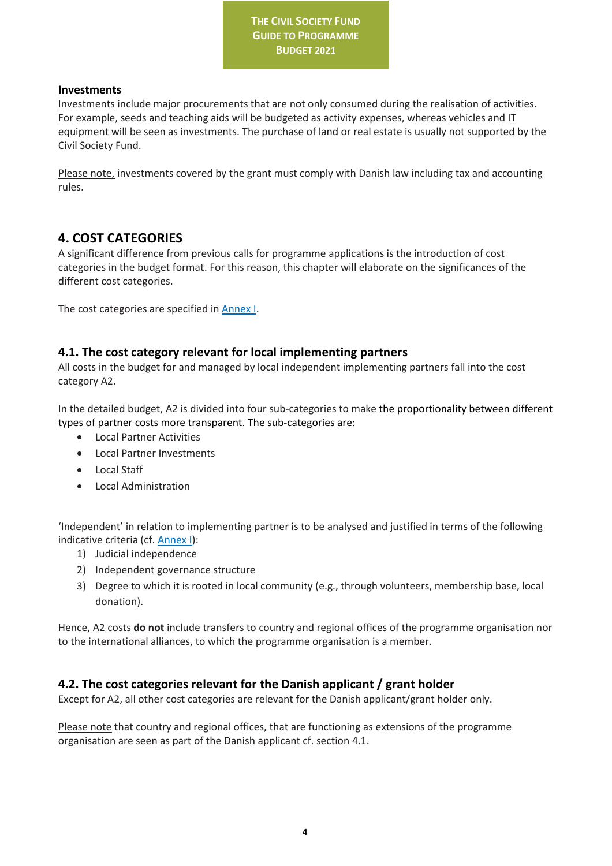## <span id="page-4-0"></span>**Investments**

Investments include major procurements that are not only consumed during the realisation of activities. For example, seeds and teaching aids will be budgeted as activity expenses, whereas vehicles and IT equipment will be seen as investments. The purchase of land or real estate is usually not supported by the Civil Society Fund.

Please note, investments covered by the grant must comply with Danish law including tax and accounting rules.

# <span id="page-4-1"></span>**4. COST CATEGORIES**

A significant difference from previous calls for programme applications is the introduction of cost categories in the budget format. For this reason, this chapter will elaborate on the significances of the different cost categories.

The cost categories are specified in Annex I.

# <span id="page-4-2"></span>**4.1. The cost category relevant for local implementing partners**

All costs in the budget for and managed by local independent implementing partners fall into the cost category A2.

In the detailed budget, A2 is divided into four sub-categories to make the proportionality between different types of partner costs more transparent. The sub-categories are:

- Local Partner Activities
- Local Partner Investments
- Local Staff
- Local Administration

'Independent' in relation to implementing partner is to be analysed and justified in terms of the following indicative criteria (cf. Annex I):

- 1) Judicial independence
- 2) Independent governance structure
- 3) Degree to which it is rooted in local community (e.g., through volunteers, membership base, local donation).

Hence, A2 costs **do not** include transfers to country and regional offices of the programme organisation nor to the international alliances, to which the programme organisation is a member.

# <span id="page-4-3"></span>**4.2. The cost categories relevant for the Danish applicant / grant holder**

Except for A2, all other cost categories are relevant for the Danish applicant/grant holder only.

Please note that country and regional offices, that are functioning as extensions of the programme organisation are seen as part of the Danish applicant cf. section 4.1.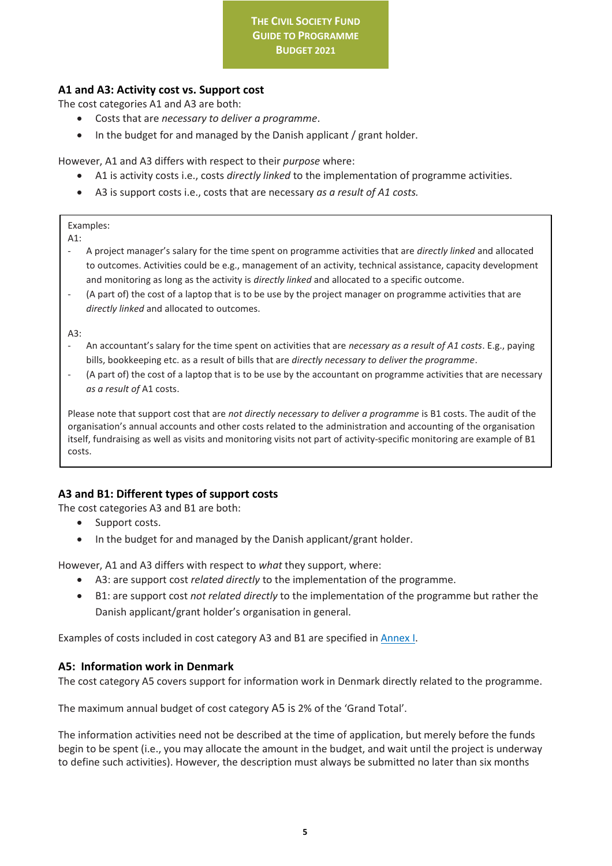# <span id="page-5-0"></span>**A1 and A3: Activity cost vs. Support cost**

The cost categories A1 and A3 are both:

- Costs that are *necessary to deliver a programme*.
- In the budget for and managed by the Danish applicant / grant holder.

However, A1 and A3 differs with respect to their *purpose* where:

- A1 is activity costs i.e., costs *directly linked* to the implementation of programme activities.
- A3 is support costs i.e., costs that are necessary *as a result of A1 costs.*

Examples:

A1:

- A project manager's salary for the time spent on programme activities that are *directly linked* and allocated to outcomes. Activities could be e.g., management of an activity, technical assistance, capacity development and monitoring as long as the activity is *directly linked* and allocated to a specific outcome.
- (A part of) the cost of a laptop that is to be use by the project manager on programme activities that are *directly linked* and allocated to outcomes.

A3:

- An accountant's salary for the time spent on activities that are *necessary as a result of A1 costs*. E.g., paying bills, bookkeeping etc. as a result of bills that are *directly necessary to deliver the programme*.
- (A part of) the cost of a laptop that is to be use by the accountant on programme activities that are necessary *as a result of* A1 costs.

Please note that support cost that are *not directly necessary to deliver a programme* is B1 costs. The audit of the organisation's annual accounts and other costs related to the administration and accounting of the organisation itself, fundraising as well as visits and monitoring visits not part of activity-specific monitoring are example of B1 costs.

# <span id="page-5-1"></span>**A3 and B1: Different types of support costs**

The cost categories A3 and B1 are both:

- Support costs.
- In the budget for and managed by the Danish applicant/grant holder.

However, A1 and A3 differs with respect to *what* they support, where:

- A3: are support cost *related directly* to the implementation of the programme.
- B1: are support cost *not related directly* to the implementation of the programme but rather the Danish applicant/grant holder's organisation in general.

Examples of costs included in cost category A3 and B1 are specified in Annex I.

# <span id="page-5-2"></span>**A5: Information work in Denmark**

The cost category A5 covers support for information work in Denmark directly related to the programme.

The maximum annual budget of cost category A5 is 2% of the 'Grand Total'.

The information activities need not be described at the time of application, but merely before the funds begin to be spent (i.e., you may allocate the amount in the budget, and wait until the project is underway to define such activities). However, the description must always be submitted no later than six months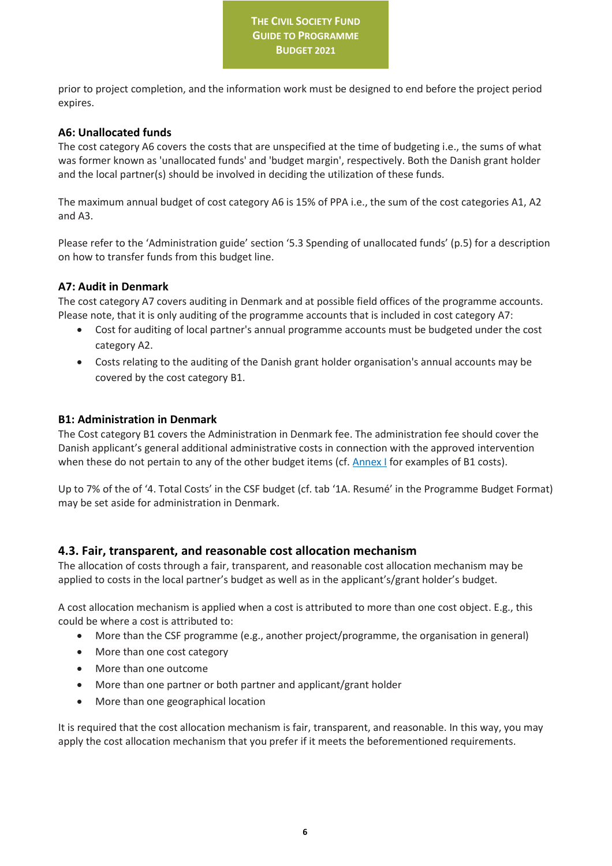prior to project completion, and the information work must be designed to end before the project period expires.

## <span id="page-6-0"></span>**A6: Unallocated funds**

The cost category A6 covers the costs that are unspecified at the time of budgeting i.e., the sums of what was former known as 'unallocated funds' and 'budget margin', respectively. Both the Danish grant holder and the local partner(s) should be involved in deciding the utilization of these funds.

The maximum annual budget of cost category A6 is 15% of PPA i.e., the sum of the cost categories A1, A2 and A3.

Please refer to the 'Administration guide' section '5.3 Spending of unallocated funds' (p.5) for a description on how to transfer funds from this budget line.

## <span id="page-6-1"></span>**A7: Audit in Denmark**

The cost category A7 covers auditing in Denmark and at possible field offices of the programme accounts. Please note, that it is only auditing of the programme accounts that is included in cost category A7:

- Cost for auditing of local partner's annual programme accounts must be budgeted under the cost category A2.
- Costs relating to the auditing of the Danish grant holder organisation's annual accounts may be covered by the cost category B1.

## <span id="page-6-2"></span>**B1: Administration in Denmark**

The Cost category B1 covers the Administration in Denmark fee. The administration fee should cover the Danish applicant's general additional administrative costs in connection with the approved intervention when these do not pertain to any of the other budget items (cf[. Annex I](#page-12-1) for examples of B1 costs).

Up to 7% of the of '4. Total Costs' in the CSF budget (cf. tab '1A. Resumé' in the Programme Budget Format) may be set aside for administration in Denmark.

# <span id="page-6-3"></span>**4.3. Fair, transparent, and reasonable cost allocation mechanism**

The allocation of costs through a fair, transparent, and reasonable cost allocation mechanism may be applied to costs in the local partner's budget as well as in the applicant's/grant holder's budget.

A cost allocation mechanism is applied when a cost is attributed to more than one cost object. E.g., this could be where a cost is attributed to:

- More than the CSF programme (e.g., another project/programme, the organisation in general)
- More than one cost category
- More than one outcome
- More than one partner or both partner and applicant/grant holder
- More than one geographical location

It is required that the cost allocation mechanism is fair, transparent, and reasonable. In this way, you may apply the cost allocation mechanism that you prefer if it meets the beforementioned requirements.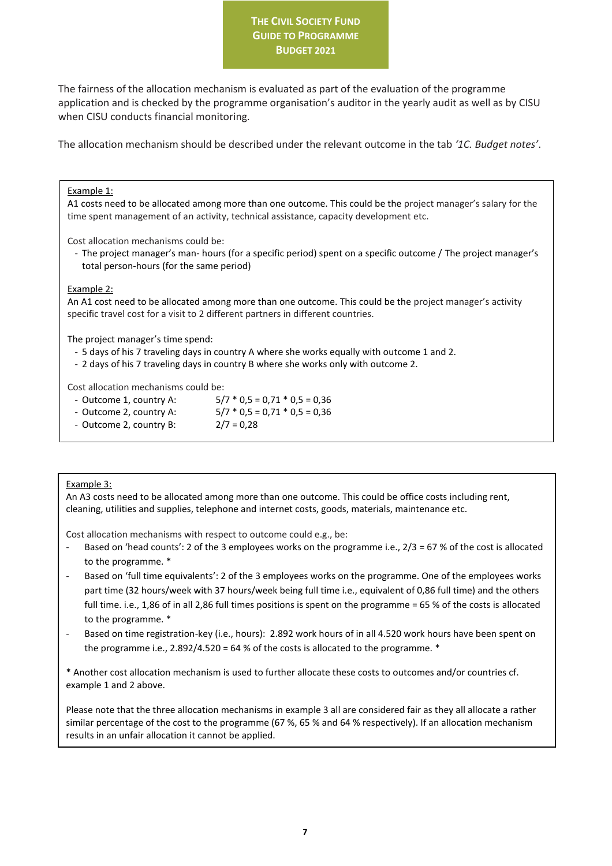The fairness of the allocation mechanism is evaluated as part of the evaluation of the programme application and is checked by the programme organisation's auditor in the yearly audit as well as by CISU when CISU conducts financial monitoring.

The allocation mechanism should be described under the relevant outcome in the tab *'1C. Budget notes'*.

#### Example 1:

A1 costs need to be allocated among more than one outcome. This could be the project manager's salary for the time spent management of an activity, technical assistance, capacity development etc.

Cost allocation mechanisms could be:

- The project manager's man- hours (for a specific period) spent on a specific outcome / The project manager's total person-hours (for the same period)

#### Example 2:

An A1 cost need to be allocated among more than one outcome. This could be the project manager's activity specific travel cost for a visit to 2 different partners in different countries.

The project manager's time spend:

- 5 days of his 7 traveling days in country A where she works equally with outcome 1 and 2.
- 2 days of his 7 traveling days in country B where she works only with outcome 2.

Cost allocation mechanisms could be:

- Outcome 1, country A: 5/7 \* 0,5 = 0,71 \* 0,5 = 0,36
- Outcome 2, country A:  $5/7 * 0.5 = 0.71 * 0.5 = 0.36$
- Outcome 2, country B:  $2/7 = 0.28$

#### Example 3:

An A3 costs need to be allocated among more than one outcome. This could be office costs including rent, cleaning, utilities and supplies, telephone and internet costs, goods, materials, maintenance etc.

Cost allocation mechanisms with respect to outcome could e.g., be:

- Based on 'head counts': 2 of the 3 employees works on the programme i.e., 2/3 = 67 % of the cost is allocated to the programme. \*
- Based on 'full time equivalents': 2 of the 3 employees works on the programme. One of the employees works part time (32 hours/week with 37 hours/week being full time i.e., equivalent of 0,86 full time) and the others full time. i.e., 1,86 of in all 2,86 full times positions is spent on the programme = 65 % of the costs is allocated to the programme. \*
- Based on time registration-key (i.e., hours): 2.892 work hours of in all 4.520 work hours have been spent on the programme i.e., 2.892/4.520 = 64 % of the costs is allocated to the programme. \*

\* Another cost allocation mechanism is used to further allocate these costs to outcomes and/or countries cf. example 1 and 2 above.

Please note that the three allocation mechanisms in example 3 all are considered fair as they all allocate a rather similar percentage of the cost to the programme (67 %, 65 % and 64 % respectively). If an allocation mechanism results in an unfair allocation it cannot be applied.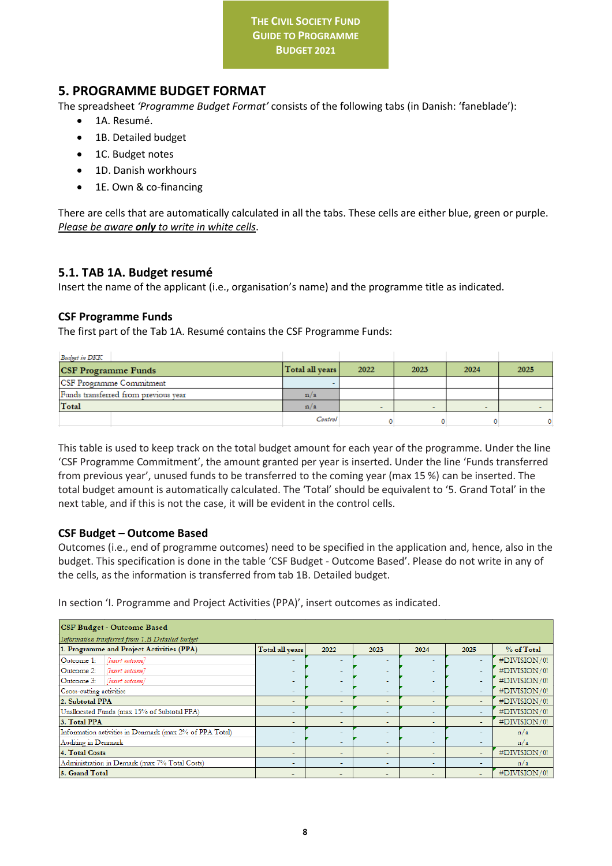# <span id="page-8-0"></span>**5. PROGRAMME BUDGET FORMAT**

The spreadsheet *'Programme Budget Format'* consists of the following tabs (in Danish: 'faneblade'):

- 1A. Resumé.
- 1B. Detailed budget
- 1C. Budget notes
- 1D. Danish workhours
- 1E. Own & co-financing

There are cells that are automatically calculated in all the tabs. These cells are either blue, green or purple. *Please be aware only to write in white cells*.

# <span id="page-8-1"></span>**5.1. TAB 1A. Budget resumé**

Insert the name of the applicant (i.e., organisation's name) and the programme title as indicated.

# <span id="page-8-2"></span>**CSF Programme Funds**

The first part of the Tab 1A. Resumé contains the CSF Programme Funds:

| <b>Budget in DKK</b>                 |                 |                          |        |      |      |
|--------------------------------------|-----------------|--------------------------|--------|------|------|
| <b>CSF Programme Funds</b>           | Total all years | 2022                     | 2023   | 2024 | 2025 |
| CSF Programme Commitment             |                 |                          |        |      |      |
| Funds transferred from previous vear | n/a             |                          |        |      |      |
| Total                                | n/a             | $\overline{\phantom{0}}$ | $\sim$ | -    |      |
|                                      | Control         |                          |        |      |      |

This table is used to keep track on the total budget amount for each year of the programme. Under the line 'CSF Programme Commitment', the amount granted per year is inserted. Under the line 'Funds transferred from previous year', unused funds to be transferred to the coming year (max 15 %) can be inserted. The total budget amount is automatically calculated. The 'Total' should be equivalent to '5. Grand Total' in the next table, and if this is not the case, it will be evident in the control cells.

# <span id="page-8-3"></span>**CSF Budget – Outcome Based**

Outcomes (i.e., end of programme outcomes) need to be specified in the application and, hence, also in the budget. This specification is done in the table 'CSF Budget - Outcome Based'. Please do not write in any of the cells, as the information is transferred from tab 1B. Detailed budget.

In section 'I. Programme and Project Activities (PPA)', insert outcomes as indicated.

| <b>CSF Budget - Outcome Based</b><br>Information tranferred from 1.B Detailed budget |                          |                          |                          |                          |                          |              |
|--------------------------------------------------------------------------------------|--------------------------|--------------------------|--------------------------|--------------------------|--------------------------|--------------|
| 1. Programme and Project Activities (PPA)                                            | Total all years          | 2022                     | 2023                     | 2024                     | 2025                     | % of Total   |
| [insert outcome]<br>Outcome 1:                                                       |                          |                          |                          | $\overline{\phantom{0}}$ | $\overline{\phantom{0}}$ | #DIVISION/0! |
| Outcome 2:<br>[insert outcome]                                                       | $\overline{\phantom{a}}$ | $\sim$                   | $\overline{\phantom{a}}$ | $\overline{\phantom{a}}$ | $\sim$                   | #DIVISION/0! |
| Tinsert outcome?<br>Outcome 3:                                                       | ۰                        |                          | $\overline{\phantom{0}}$ |                          | ۰                        | #DIVISION/0! |
| Cross-cutting activities                                                             | $\sim$                   | $\overline{\phantom{a}}$ | $\overline{\phantom{a}}$ | $\overline{\phantom{a}}$ | $\sim$                   | #DIVISION/0! |
| 2. Subtotal PPA                                                                      | -                        | $\overline{\phantom{a}}$ | $\overline{a}$           | $\overline{\phantom{a}}$ | $\overline{\phantom{0}}$ | #DIVISION/0! |
| Unallocated Funds (max 15% of Subtotal PPA)                                          | -                        | $\overline{\phantom{0}}$ |                          | $\overline{\phantom{0}}$ |                          | #DIVISION/0! |
| 3. Total PPA                                                                         | ۰                        | ۰                        | $\overline{\phantom{a}}$ | $\overline{\phantom{a}}$ | ۰                        | #DIVISION/0! |
| Information activities in Denmark (max 2% of PPA Total)                              | ٠                        |                          |                          |                          |                          | n/a          |
| Auditing in Denmark                                                                  | $\sim$                   | $\overline{\phantom{a}}$ | $\overline{\phantom{a}}$ | $\overline{\phantom{a}}$ | $\sim$                   | n/a          |
| 4. Total Costs                                                                       | -                        | $\overline{\phantom{a}}$ | $\overline{\phantom{a}}$ | $\overline{\phantom{a}}$ | $\overline{\phantom{a}}$ | #DIVISION/0! |
| Administration in Demark (max 7% Total Costs)                                        | $\sim$                   | $\overline{\phantom{a}}$ | $\overline{\phantom{0}}$ | $\overline{\phantom{0}}$ | $\overline{\phantom{0}}$ | n/a          |
| 5. Grand Total                                                                       |                          | $\overline{\phantom{0}}$ | $\overline{\phantom{0}}$ | $\overline{\phantom{0}}$ |                          | #DIVISION/0! |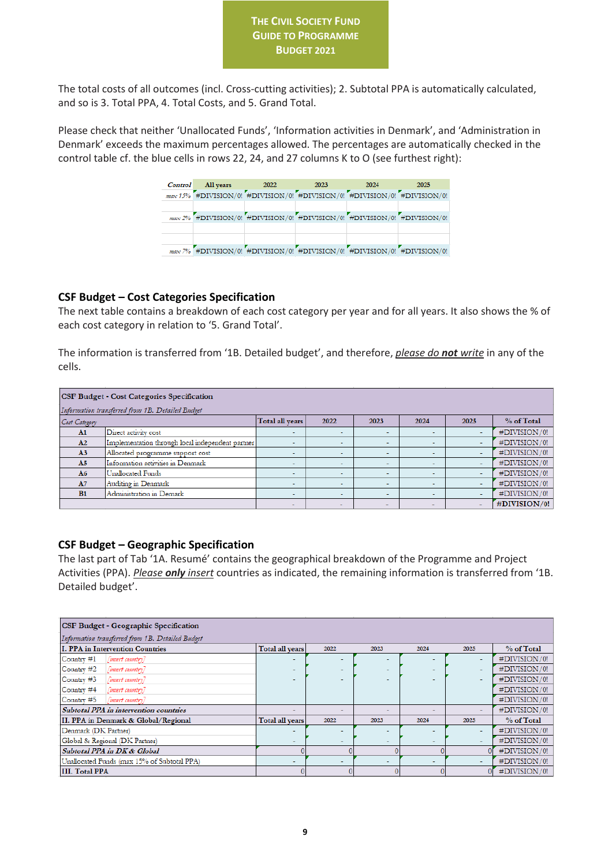The total costs of all outcomes (incl. Cross-cutting activities); 2. Subtotal PPA is automatically calculated, and so is 3. Total PPA, 4. Total Costs, and 5. Grand Total.

Please check that neither 'Unallocated Funds', 'Information activities in Denmark', and 'Administration in Denmark' exceeds the maximum percentages allowed. The percentages are automatically checked in the control table cf. the blue cells in rows 22, 24, and 27 columns K to O (see furthest right):

| Control All vears 2022 | 2023 | 2024                                                                     | 2025 |
|------------------------|------|--------------------------------------------------------------------------|------|
|                        |      | max 15% HDIVISION/0! HDIVISION/0! HDIVISION/0! HDIVISION/0! HDIVISION/0! |      |
|                        |      |                                                                          |      |
|                        |      | max 2% #DIVISION/0! #DIVISION/0! #DIVISION/0! #DIVISION/0! #DIVISION/0!  |      |
|                        |      |                                                                          |      |
|                        |      |                                                                          |      |
|                        |      | max 7% #DIVISION/0! #DIVISION/0! #DIVISION/0! #DIVISION/0! #DIVISION/0!  |      |

## <span id="page-9-0"></span>**CSF Budget – Cost Categories Specification**

The next table contains a breakdown of each cost category per year and for all years. It also shows the % of each cost category in relation to '5. Grand Total'.

The information is transferred from '1B. Detailed budget', and therefore, *please do not write* in any of the cells.

| <b>CSF Budget - Cost Categories Specification</b><br>Information transferred from 1B. Detailed Budget |                                                  |                          |                          |                          |                          |      |              |
|-------------------------------------------------------------------------------------------------------|--------------------------------------------------|--------------------------|--------------------------|--------------------------|--------------------------|------|--------------|
| Cost Category                                                                                         |                                                  | Total all years          | 2022                     | 2023                     | 2024                     | 2025 | % of Total   |
| A1                                                                                                    | Direct activity cost                             | ۰                        | $\sim$                   |                          |                          |      | #DIVISION/0! |
| A2                                                                                                    | Implementation through local independent partner |                          | $\overline{\phantom{a}}$ |                          |                          |      | #DIVISION/0! |
| A <sub>3</sub>                                                                                        | Allocated programme support cost                 | ۰                        | $\overline{\phantom{a}}$ | $\overline{\phantom{a}}$ | <b>.</b>                 |      | #DIVISION/0! |
| A <sub>5</sub>                                                                                        | Information activities in Denmark                | $\overline{\phantom{a}}$ | $\overline{\phantom{a}}$ | $\sim$                   | $\sim$                   |      | #DIVISION/0! |
| A6                                                                                                    | Unallocated Funds                                | $\overline{\phantom{a}}$ | $\overline{\phantom{0}}$ | $\overline{\phantom{a}}$ | $\overline{\phantom{a}}$ |      | #DIVISION/0! |
| A7                                                                                                    | Auditing in Denmark                              | ۰                        | $\sim$                   |                          |                          |      | #DIVISION/0! |
| B1                                                                                                    | Administration in Demark                         | $\overline{\phantom{a}}$ | $\overline{\phantom{0}}$ | $\sim$                   | $\sim$                   |      | #DIVISION/0! |
|                                                                                                       |                                                  | $\overline{\phantom{0}}$ | $\overline{\phantom{0}}$ | $\overline{\phantom{0}}$ | $\overline{\phantom{0}}$ |      | #DIVISION/0! |

## <span id="page-9-1"></span>**CSF Budget – Geographic Specification**

The last part of Tab '1A. Resumé' contains the geographical breakdown of the Programme and Project Activities (PPA). *Please only insert* countries as indicated, the remaining information is transferred from '1B. Detailed budget'.

| CSF Budget - Geographic Specification            |                          |        |                          |                          |          |              |  |  |
|--------------------------------------------------|--------------------------|--------|--------------------------|--------------------------|----------|--------------|--|--|
| Information transferred from 1B. Detailed Budget |                          |        |                          |                          |          |              |  |  |
| I. PPA in Intervention Countries                 | Total all years          | 2022   | 2023                     | 2024                     | 2025     | % of Total   |  |  |
| $Country \#1$<br>(insert country)                |                          |        |                          |                          |          | #DIVISION/0! |  |  |
| Country $#2$<br>(insert country]                 | $\overline{\phantom{0}}$ |        | $\overline{\phantom{0}}$ |                          | <b>.</b> | #DIVISION/0! |  |  |
| $Country \#3$<br>(insert country)                |                          |        |                          |                          |          | #DIVISION/0! |  |  |
| $Country$ #4<br>(insert country]                 |                          |        |                          |                          |          | #DIVISION/0! |  |  |
| $Country \#5$<br>(insert country)                |                          |        |                          |                          |          | #DIVISION/0! |  |  |
| Subtotal PPA in intervention countries           | -                        | $\sim$ |                          | $\overline{\phantom{0}}$ |          | #DIVISION/0! |  |  |
| II. PPA in Denmark & Global/Regional             | Total all years          | 2022   | 2023                     | 2024                     | 2025     | % of Total   |  |  |
| Denmark (DK Partner)                             |                          |        |                          |                          | $\sim$   | #DIVISION/0! |  |  |
| Global & Regional (DK Partner)                   |                          |        |                          | ۰                        |          | #DIVISION/0! |  |  |
| Subtotal PPA in DK & Global                      |                          |        |                          |                          |          | #DIVISION/0! |  |  |
| Unallocated Funds (max 15% of Subtotal PPA)      |                          |        |                          |                          |          | #DIVISION/0! |  |  |
| <b>III. Total PPA</b>                            |                          |        |                          |                          |          | #DIVISION/0! |  |  |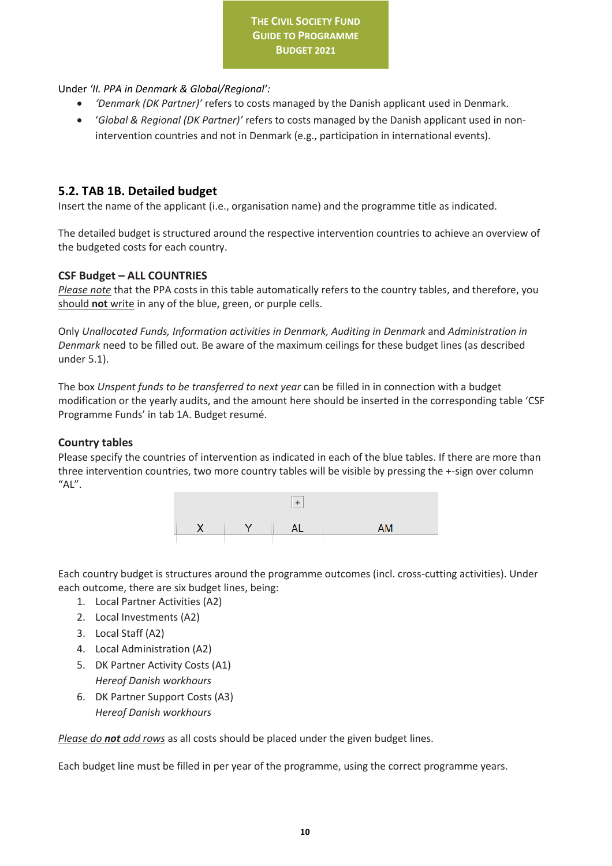Under *'II. PPA in Denmark & Global/Regional':* 

- *'Denmark (DK Partner)'* refers to costs managed by the Danish applicant used in Denmark.
- '*Global & Regional (DK Partner)'* refers to costs managed by the Danish applicant used in nonintervention countries and not in Denmark (e.g., participation in international events).

# <span id="page-10-0"></span>**5.2. TAB 1B. Detailed budget**

Insert the name of the applicant (i.e., organisation name) and the programme title as indicated.

The detailed budget is structured around the respective intervention countries to achieve an overview of the budgeted costs for each country.

## **CSF Budget – ALL COUNTRIES**

*Please note* that the PPA costs in this table automatically refers to the country tables, and therefore, you should **not** write in any of the blue, green, or purple cells.

Only *Unallocated Funds, Information activities in Denmark, Auditing in Denmark* and *Administration in Denmark* need to be filled out. Be aware of the maximum ceilings for these budget lines (as described under 5.1).

The box *Unspent funds to be transferred to next year* can be filled in in connection with a budget modification or the yearly audits, and the amount here should be inserted in the corresponding table 'CSF Programme Funds' in tab 1A. Budget resumé.

## **Country tables**

Please specify the countries of intervention as indicated in each of the blue tables. If there are more than three intervention countries, two more country tables will be visible by pressing the +-sign over column  $"AL".$ 



Each country budget is structures around the programme outcomes (incl. cross-cutting activities). Under each outcome, there are six budget lines, being:

- 1. Local Partner Activities (A2)
- 2. Local Investments (A2)
- 3. Local Staff (A2)
- 4. Local Administration (A2)
- 5. DK Partner Activity Costs (A1) *Hereof Danish workhours*
- 6. DK Partner Support Costs (A3) *Hereof Danish workhours*

*Please do not add rows* as all costs should be placed under the given budget lines.

Each budget line must be filled in per year of the programme, using the correct programme years.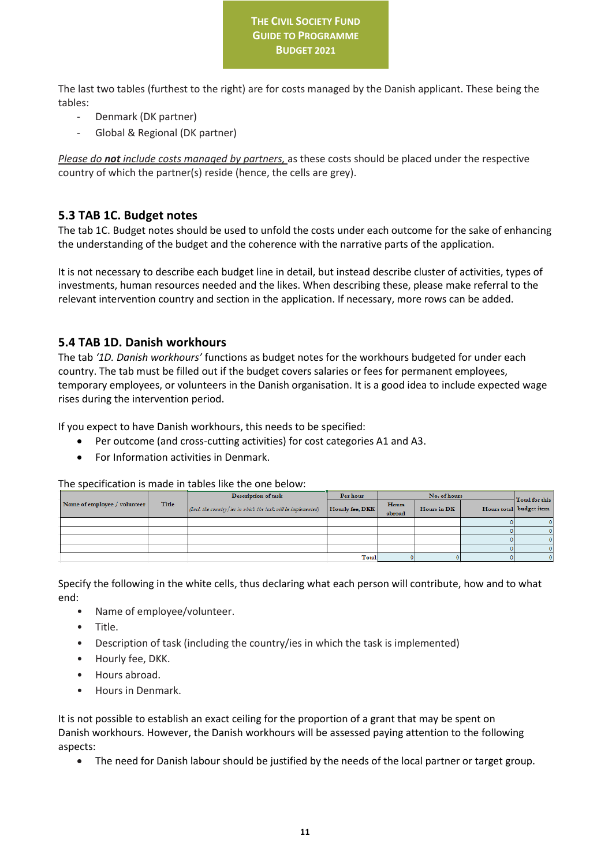The last two tables (furthest to the right) are for costs managed by the Danish applicant. These being the tables:

- Denmark (DK partner)
- Global & Regional (DK partner)

*Please do not include costs managed by partners,* as these costs should be placed under the respective country of which the partner(s) reside (hence, the cells are grey).

# <span id="page-11-0"></span>**5.3 TAB 1C. Budget notes**

The tab 1C. Budget notes should be used to unfold the costs under each outcome for the sake of enhancing the understanding of the budget and the coherence with the narrative parts of the application.

It is not necessary to describe each budget line in detail, but instead describe cluster of activities, types of investments, human resources needed and the likes. When describing these, please make referral to the relevant intervention country and section in the application. If necessary, more rows can be added.

# <span id="page-11-1"></span>**5.4 TAB 1D. Danish workhours**

The tab *'1D. Danish workhours'* functions as budget notes for the workhours budgeted for under each country. The tab must be filled out if the budget covers salaries or fees for permanent employees, temporary employees, or volunteers in the Danish organisation. It is a good idea to include expected wage rises during the intervention period.

If you expect to have Danish workhours, this needs to be specified:

- Per outcome (and cross-cutting activities) for cost categories A1 and A3.
- For Information activities in Denmark.

The specification is made in tables like the one below:

|                              | Description of task |                                                               | Per hour        | No. of hours    |             |  | Total for this          |
|------------------------------|---------------------|---------------------------------------------------------------|-----------------|-----------------|-------------|--|-------------------------|
| Name of employee / volunteer | Title               | (Incl. the country/ies in which the task will be implemented) | Hourly fee, DKK | Hours<br>abroad | Hours in DK |  | Hours total budget item |
|                              |                     |                                                               |                 |                 |             |  | 0                       |
|                              |                     |                                                               |                 |                 |             |  | n.                      |
|                              |                     |                                                               |                 |                 |             |  |                         |
|                              |                     |                                                               |                 |                 |             |  | o                       |
|                              |                     |                                                               | Total           |                 |             |  | 0                       |

Specify the following in the white cells, thus declaring what each person will contribute, how and to what end:

- Name of employee/volunteer.
- Title.
- Description of task (including the country/ies in which the task is implemented)
- Hourly fee, DKK.
- Hours abroad.
- Hours in Denmark.

It is not possible to establish an exact ceiling for the proportion of a grant that may be spent on Danish workhours. However, the Danish workhours will be assessed paying attention to the following aspects:

• The need for Danish labour should be justified by the needs of the local partner or target group.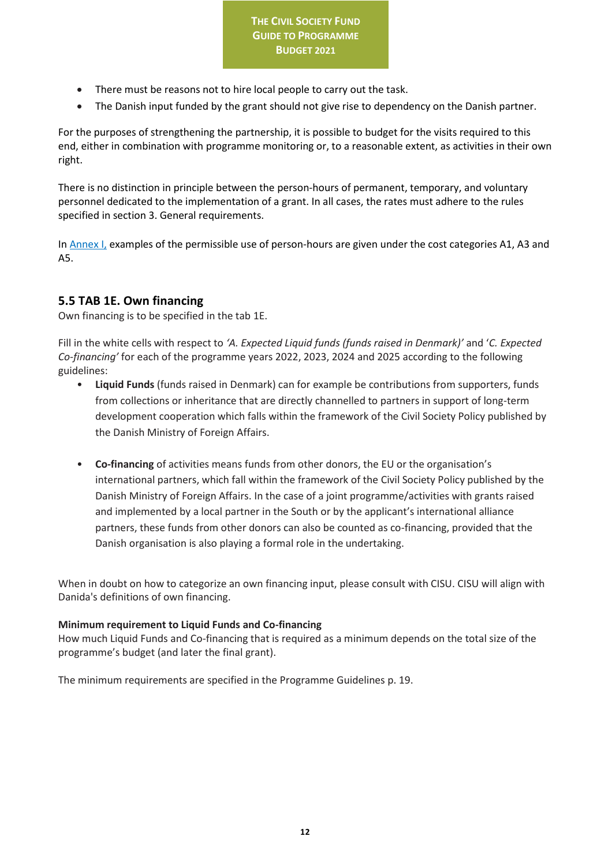- There must be reasons not to hire local people to carry out the task.
- The Danish input funded by the grant should not give rise to dependency on the Danish partner.

For the purposes of strengthening the partnership, it is possible to budget for the visits required to this end, either in combination with programme monitoring or, to a reasonable extent, as activities in their own right.

There is no distinction in principle between the person-hours of permanent, temporary, and voluntary personnel dedicated to the implementation of a grant. In all cases, the rates must adhere to the rules specified in section 3. General requirements.

I[n Annex I,](#page-12-1) examples of the permissible use of person-hours are given under the cost categories A1, A3 and A5.

# <span id="page-12-0"></span>**5.5 TAB 1E. Own financing**

Own financing is to be specified in the tab 1E.

Fill in the white cells with respect to *'A. Expected Liquid funds (funds raised in Denmark)'* and '*C. Expected Co-financing'* for each of the programme years 2022, 2023, 2024 and 2025 according to the following guidelines:

- **Liquid Funds** (funds raised in Denmark) can for example be contributions from supporters, funds from collections or inheritance that are directly channelled to partners in support of long-term development cooperation which falls within the framework of the Civil Society Policy published by the Danish Ministry of Foreign Affairs.
- **Co-financing** of activities means funds from other donors, the EU or the organisation's international partners, which fall within the framework of the Civil Society Policy published by the Danish Ministry of Foreign Affairs. In the case of a joint programme/activities with grants raised and implemented by a local partner in the South or by the applicant's international alliance partners, these funds from other donors can also be counted as co-financing, provided that the Danish organisation is also playing a formal role in the undertaking.

When in doubt on how to categorize an own financing input, please consult with CISU. CISU will align with Danida's definitions of own financing.

# **Minimum requirement to Liquid Funds and Co-financing**

How much Liquid Funds and Co-financing that is required as a minimum depends on the total size of the programme's budget (and later the final grant).

<span id="page-12-1"></span>The minimum requirements are specified in the Programme Guidelines p. 19.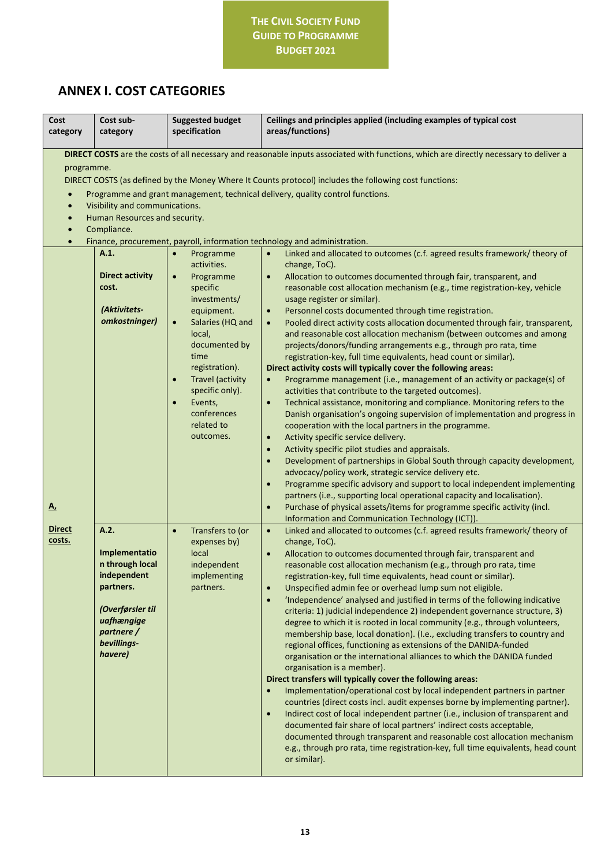# <span id="page-13-0"></span>**ANNEX I. COST CATEGORIES**

| Cost<br>category                                               | Cost sub-<br>category                                                                                                                                      | <b>Suggested budget</b><br>specification                                                                                                                                                                                                                                                                                     | Ceilings and principles applied (including examples of typical cost<br>areas/functions)                                                                                                                                                                                                                                                                                                                                                                                                                                                                                                                                                                                                                                                                                                                                                                                                                                                                                                                                                                                                                                                                                                                                                                                                                                                                                                                                                                                                                                                                                                                                                                                                                                                                                                                                                    |  |  |
|----------------------------------------------------------------|------------------------------------------------------------------------------------------------------------------------------------------------------------|------------------------------------------------------------------------------------------------------------------------------------------------------------------------------------------------------------------------------------------------------------------------------------------------------------------------------|--------------------------------------------------------------------------------------------------------------------------------------------------------------------------------------------------------------------------------------------------------------------------------------------------------------------------------------------------------------------------------------------------------------------------------------------------------------------------------------------------------------------------------------------------------------------------------------------------------------------------------------------------------------------------------------------------------------------------------------------------------------------------------------------------------------------------------------------------------------------------------------------------------------------------------------------------------------------------------------------------------------------------------------------------------------------------------------------------------------------------------------------------------------------------------------------------------------------------------------------------------------------------------------------------------------------------------------------------------------------------------------------------------------------------------------------------------------------------------------------------------------------------------------------------------------------------------------------------------------------------------------------------------------------------------------------------------------------------------------------------------------------------------------------------------------------------------------------|--|--|
| programme.<br>$\bullet$<br>$\bullet$<br>$\bullet$<br>$\bullet$ | Visibility and communications.<br>Human Resources and security.<br>Compliance.<br>A.1.<br><b>Direct activity</b><br>cost.<br>(Aktivitets-<br>omkostninger) | Programme<br>$\bullet$<br>activities.<br>Programme<br>$\bullet$<br>specific<br>investments/<br>equipment.<br>$\bullet$<br>Salaries (HQ and<br>local,<br>documented by<br>time<br>registration).<br><b>Travel (activity</b><br>$\bullet$<br>specific only).<br>Events,<br>$\bullet$<br>conferences<br>related to<br>outcomes. | DIRECT COSTS are the costs of all necessary and reasonable inputs associated with functions, which are directly necessary to deliver a<br>DIRECT COSTS (as defined by the Money Where It Counts protocol) includes the following cost functions:<br>Programme and grant management, technical delivery, quality control functions.<br>Finance, procurement, payroll, information technology and administration.<br>Linked and allocated to outcomes (c.f. agreed results framework/ theory of<br>$\bullet$<br>change, ToC).<br>Allocation to outcomes documented through fair, transparent, and<br>$\bullet$<br>reasonable cost allocation mechanism (e.g., time registration-key, vehicle<br>usage register or similar).<br>Personnel costs documented through time registration.<br>$\bullet$<br>Pooled direct activity costs allocation documented through fair, transparent,<br>$\bullet$<br>and reasonable cost allocation mechanism (between outcomes and among<br>projects/donors/funding arrangements e.g., through pro rata, time<br>registration-key, full time equivalents, head count or similar).<br>Direct activity costs will typically cover the following areas:<br>Programme management (i.e., management of an activity or package(s) of<br>$\bullet$<br>activities that contribute to the targeted outcomes).<br>Technical assistance, monitoring and compliance. Monitoring refers to the<br>$\bullet$<br>Danish organisation's ongoing supervision of implementation and progress in<br>cooperation with the local partners in the programme.<br>Activity specific service delivery.<br>$\bullet$<br>Activity specific pilot studies and appraisals.<br>$\bullet$<br>Development of partnerships in Global South through capacity development,<br>$\bullet$<br>advocacy/policy work, strategic service delivery etc. |  |  |
| <u>A,</u>                                                      |                                                                                                                                                            |                                                                                                                                                                                                                                                                                                                              | Programme specific advisory and support to local independent implementing<br>$\bullet$<br>partners (i.e., supporting local operational capacity and localisation).<br>Purchase of physical assets/items for programme specific activity (incl.<br>$\bullet$<br>Information and Communication Technology (ICT)).                                                                                                                                                                                                                                                                                                                                                                                                                                                                                                                                                                                                                                                                                                                                                                                                                                                                                                                                                                                                                                                                                                                                                                                                                                                                                                                                                                                                                                                                                                                            |  |  |
| <b>Direct</b><br>costs.                                        | A.2.<br>Implementatio<br>n through local<br>independent<br>partners.<br>(Overførsler til<br>uafhængige<br>partnere /<br>bevillings-<br>havere)             | Transfers to (or<br>$\bullet$<br>expenses by)<br>local<br>independent<br>implementing<br>partners.                                                                                                                                                                                                                           | Linked and allocated to outcomes (c.f. agreed results framework/ theory of<br>$\bullet$<br>change, ToC).<br>Allocation to outcomes documented through fair, transparent and<br>$\bullet$<br>reasonable cost allocation mechanism (e.g., through pro rata, time<br>registration-key, full time equivalents, head count or similar).<br>Unspecified admin fee or overhead lump sum not eligible.<br>$\bullet$<br>'Independence' analysed and justified in terms of the following indicative<br>$\bullet$<br>criteria: 1) judicial independence 2) independent governance structure, 3)<br>degree to which it is rooted in local community (e.g., through volunteers,<br>membership base, local donation). (I.e., excluding transfers to country and<br>regional offices, functioning as extensions of the DANIDA-funded<br>organisation or the international alliances to which the DANIDA funded<br>organisation is a member).<br>Direct transfers will typically cover the following areas:<br>Implementation/operational cost by local independent partners in partner<br>$\bullet$<br>countries (direct costs incl. audit expenses borne by implementing partner).<br>Indirect cost of local independent partner (i.e., inclusion of transparent and<br>$\bullet$<br>documented fair share of local partners' indirect costs acceptable,<br>documented through transparent and reasonable cost allocation mechanism<br>e.g., through pro rata, time registration-key, full time equivalents, head count<br>or similar).                                                                                                                                                                                                                                                                                                                  |  |  |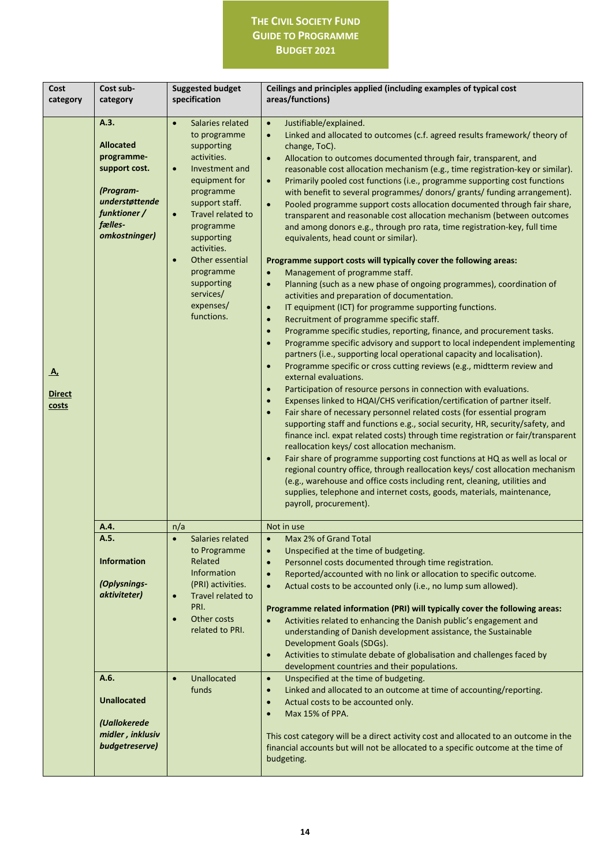| Cost<br>category                    | Cost sub-<br>category                                                                                                              | <b>Suggested budget</b><br>specification                                                                                                                                                                                                                                                                                                 | Ceilings and principles applied (including examples of typical cost<br>areas/functions)                                                                                                                                                                                                                                                                                                                                                                                                                                                                                                                                                                                                                                                                                                                                                                                                                                                                                                                                                                                                                                                                                                                                                                                                                                                                                                                                                                                                                                                                                                                                                                                                                                                                                                                                                                                                                                                                                                                                                                                                                                                                                                                                                                                                                                                                                                              |
|-------------------------------------|------------------------------------------------------------------------------------------------------------------------------------|------------------------------------------------------------------------------------------------------------------------------------------------------------------------------------------------------------------------------------------------------------------------------------------------------------------------------------------|------------------------------------------------------------------------------------------------------------------------------------------------------------------------------------------------------------------------------------------------------------------------------------------------------------------------------------------------------------------------------------------------------------------------------------------------------------------------------------------------------------------------------------------------------------------------------------------------------------------------------------------------------------------------------------------------------------------------------------------------------------------------------------------------------------------------------------------------------------------------------------------------------------------------------------------------------------------------------------------------------------------------------------------------------------------------------------------------------------------------------------------------------------------------------------------------------------------------------------------------------------------------------------------------------------------------------------------------------------------------------------------------------------------------------------------------------------------------------------------------------------------------------------------------------------------------------------------------------------------------------------------------------------------------------------------------------------------------------------------------------------------------------------------------------------------------------------------------------------------------------------------------------------------------------------------------------------------------------------------------------------------------------------------------------------------------------------------------------------------------------------------------------------------------------------------------------------------------------------------------------------------------------------------------------------------------------------------------------------------------------------------------------|
| <u>A,</u><br><b>Direct</b><br>costs | A.3.<br><b>Allocated</b><br>programme-<br>support cost.<br>(Program-<br>understøttende<br>funktioner /<br>fælles-<br>omkostninger) | $\bullet$<br>Salaries related<br>to programme<br>supporting<br>activities.<br>Investment and<br>$\bullet$<br>equipment for<br>programme<br>support staff.<br>Travel related to<br>$\bullet$<br>programme<br>supporting<br>activities.<br>Other essential<br>$\bullet$<br>programme<br>supporting<br>services/<br>expenses/<br>functions. | Justifiable/explained.<br>$\bullet$<br>Linked and allocated to outcomes (c.f. agreed results framework/ theory of<br>$\bullet$<br>change, ToC).<br>Allocation to outcomes documented through fair, transparent, and<br>$\bullet$<br>reasonable cost allocation mechanism (e.g., time registration-key or similar).<br>Primarily pooled cost functions (i.e., programme supporting cost functions<br>with benefit to several programmes/ donors/ grants/ funding arrangement).<br>Pooled programme support costs allocation documented through fair share,<br>$\bullet$<br>transparent and reasonable cost allocation mechanism (between outcomes<br>and among donors e.g., through pro rata, time registration-key, full time<br>equivalents, head count or similar).<br>Programme support costs will typically cover the following areas:<br>Management of programme staff.<br>$\bullet$<br>Planning (such as a new phase of ongoing programmes), coordination of<br>$\bullet$<br>activities and preparation of documentation.<br>IT equipment (ICT) for programme supporting functions.<br>$\bullet$<br>Recruitment of programme specific staff.<br>$\bullet$<br>Programme specific studies, reporting, finance, and procurement tasks.<br>$\bullet$<br>Programme specific advisory and support to local independent implementing<br>$\bullet$<br>partners (i.e., supporting local operational capacity and localisation).<br>Programme specific or cross cutting reviews (e.g., midtterm review and<br>$\bullet$<br>external evaluations.<br>Participation of resource persons in connection with evaluations.<br>$\bullet$<br>Expenses linked to HQAI/CHS verification/certification of partner itself.<br>$\bullet$<br>Fair share of necessary personnel related costs (for essential program<br>$\bullet$<br>supporting staff and functions e.g., social security, HR, security/safety, and<br>finance incl. expat related costs) through time registration or fair/transparent<br>reallocation keys/ cost allocation mechanism.<br>Fair share of programme supporting cost functions at HQ as well as local or<br>$\bullet$<br>regional country office, through reallocation keys/ cost allocation mechanism<br>(e.g., warehouse and office costs including rent, cleaning, utilities and<br>supplies, telephone and internet costs, goods, materials, maintenance,<br>payroll, procurement). |
|                                     | A.4.                                                                                                                               | n/a                                                                                                                                                                                                                                                                                                                                      | Not in use                                                                                                                                                                                                                                                                                                                                                                                                                                                                                                                                                                                                                                                                                                                                                                                                                                                                                                                                                                                                                                                                                                                                                                                                                                                                                                                                                                                                                                                                                                                                                                                                                                                                                                                                                                                                                                                                                                                                                                                                                                                                                                                                                                                                                                                                                                                                                                                           |
|                                     | A.5.<br><b>Information</b><br>(Oplysnings-<br>aktiviteter)                                                                         | Salaries related<br>to Programme<br>Related<br>Information<br>(PRI) activities.<br>Travel related to<br>$\bullet$<br>PRI.<br>Other costs<br>$\bullet$<br>related to PRI.                                                                                                                                                                 | $\bullet$<br>Max 2% of Grand Total<br>Unspecified at the time of budgeting.<br>$\bullet$<br>Personnel costs documented through time registration.<br>$\bullet$<br>Reported/accounted with no link or allocation to specific outcome.<br>$\bullet$<br>Actual costs to be accounted only (i.e., no lump sum allowed).<br>$\bullet$<br>Programme related information (PRI) will typically cover the following areas:<br>Activities related to enhancing the Danish public's engagement and<br>$\bullet$<br>understanding of Danish development assistance, the Sustainable<br>Development Goals (SDGs).<br>Activities to stimulate debate of globalisation and challenges faced by<br>$\bullet$<br>development countries and their populations.                                                                                                                                                                                                                                                                                                                                                                                                                                                                                                                                                                                                                                                                                                                                                                                                                                                                                                                                                                                                                                                                                                                                                                                                                                                                                                                                                                                                                                                                                                                                                                                                                                                         |
|                                     | A.6.<br><b>Unallocated</b><br>(Uallokerede<br>midler, inklusiv<br>budgetreserve)                                                   | Unallocated<br>$\bullet$<br>funds                                                                                                                                                                                                                                                                                                        | Unspecified at the time of budgeting.<br>$\bullet$<br>Linked and allocated to an outcome at time of accounting/reporting.<br>$\bullet$<br>Actual costs to be accounted only.<br>$\bullet$<br>Max 15% of PPA.<br>$\bullet$<br>This cost category will be a direct activity cost and allocated to an outcome in the<br>financial accounts but will not be allocated to a specific outcome at the time of<br>budgeting.                                                                                                                                                                                                                                                                                                                                                                                                                                                                                                                                                                                                                                                                                                                                                                                                                                                                                                                                                                                                                                                                                                                                                                                                                                                                                                                                                                                                                                                                                                                                                                                                                                                                                                                                                                                                                                                                                                                                                                                 |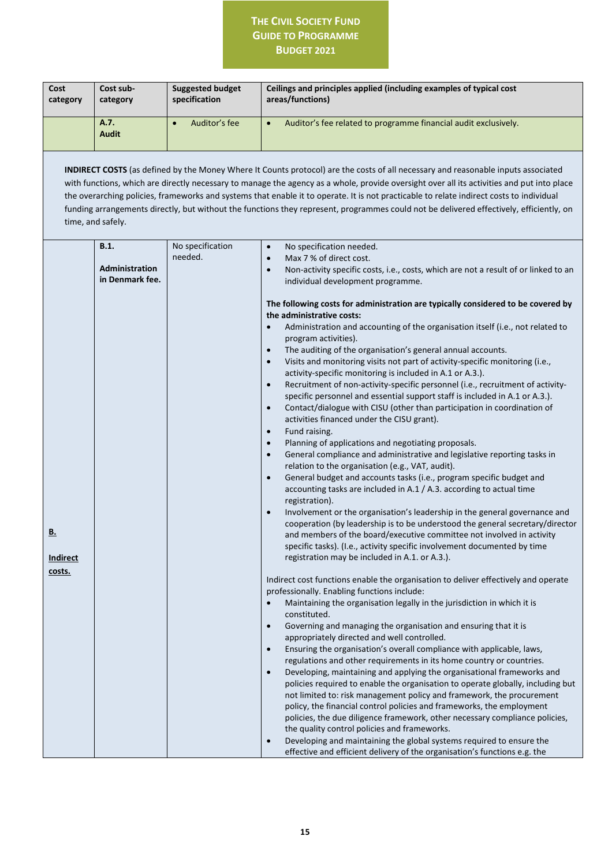| Cost<br>category             | Cost sub-<br>category                                                 | <b>Suggested budget</b><br>specification | Ceilings and principles applied (including examples of typical cost<br>areas/functions)                                                                                                                                                                                                                                                                                                                                                                                                                                                                                                                                                                                                                                                                                                                                                                                                                                                                                                                                                                                                                                                                                                                                                                                                                                                                                                                                                                                                                                                                                                                         |
|------------------------------|-----------------------------------------------------------------------|------------------------------------------|-----------------------------------------------------------------------------------------------------------------------------------------------------------------------------------------------------------------------------------------------------------------------------------------------------------------------------------------------------------------------------------------------------------------------------------------------------------------------------------------------------------------------------------------------------------------------------------------------------------------------------------------------------------------------------------------------------------------------------------------------------------------------------------------------------------------------------------------------------------------------------------------------------------------------------------------------------------------------------------------------------------------------------------------------------------------------------------------------------------------------------------------------------------------------------------------------------------------------------------------------------------------------------------------------------------------------------------------------------------------------------------------------------------------------------------------------------------------------------------------------------------------------------------------------------------------------------------------------------------------|
|                              | A.7.<br><b>Audit</b>                                                  | Auditor's fee<br>$\bullet$               | Auditor's fee related to programme financial audit exclusively.<br>$\bullet$                                                                                                                                                                                                                                                                                                                                                                                                                                                                                                                                                                                                                                                                                                                                                                                                                                                                                                                                                                                                                                                                                                                                                                                                                                                                                                                                                                                                                                                                                                                                    |
|                              | time, and safely.<br><b>B.1.</b><br>Administration<br>in Denmark fee. | No specification<br>needed.              | <b>INDIRECT COSTS</b> (as defined by the Money Where It Counts protocol) are the costs of all necessary and reasonable inputs associated<br>with functions, which are directly necessary to manage the agency as a whole, provide oversight over all its activities and put into place<br>the overarching policies, frameworks and systems that enable it to operate. It is not practicable to relate indirect costs to individual<br>funding arrangements directly, but without the functions they represent, programmes could not be delivered effectively, efficiently, on<br>No specification needed.<br>$\bullet$<br>Max 7 % of direct cost.<br>$\bullet$<br>Non-activity specific costs, i.e., costs, which are not a result of or linked to an<br>$\bullet$<br>individual development programme.                                                                                                                                                                                                                                                                                                                                                                                                                                                                                                                                                                                                                                                                                                                                                                                                         |
| <u>B.</u><br><b>Indirect</b> |                                                                       |                                          | The following costs for administration are typically considered to be covered by<br>the administrative costs:<br>Administration and accounting of the organisation itself (i.e., not related to<br>$\bullet$<br>program activities).<br>The auditing of the organisation's general annual accounts.<br>$\bullet$<br>Visits and monitoring visits not part of activity-specific monitoring (i.e.,<br>$\bullet$<br>activity-specific monitoring is included in A.1 or A.3.).<br>Recruitment of non-activity-specific personnel (i.e., recruitment of activity-<br>$\bullet$<br>specific personnel and essential support staff is included in A.1 or A.3.).<br>Contact/dialogue with CISU (other than participation in coordination of<br>$\bullet$<br>activities financed under the CISU grant).<br>Fund raising.<br>$\bullet$<br>Planning of applications and negotiating proposals.<br>$\bullet$<br>General compliance and administrative and legislative reporting tasks in<br>$\bullet$<br>relation to the organisation (e.g., VAT, audit).<br>General budget and accounts tasks (i.e., program specific budget and<br>$\bullet$<br>accounting tasks are included in A.1 / A.3. according to actual time<br>registration).<br>Involvement or the organisation's leadership in the general governance and<br>$\bullet$<br>cooperation (by leadership is to be understood the general secretary/director<br>and members of the board/executive committee not involved in activity<br>specific tasks). (I.e., activity specific involvement documented by time<br>registration may be included in A.1. or A.3.). |
| costs.                       |                                                                       |                                          | Indirect cost functions enable the organisation to deliver effectively and operate<br>professionally. Enabling functions include:<br>Maintaining the organisation legally in the jurisdiction in which it is<br>$\bullet$<br>constituted.<br>Governing and managing the organisation and ensuring that it is<br>$\bullet$<br>appropriately directed and well controlled.<br>Ensuring the organisation's overall compliance with applicable, laws,<br>$\bullet$<br>regulations and other requirements in its home country or countries.<br>Developing, maintaining and applying the organisational frameworks and<br>$\bullet$<br>policies required to enable the organisation to operate globally, including but<br>not limited to: risk management policy and framework, the procurement<br>policy, the financial control policies and frameworks, the employment<br>policies, the due diligence framework, other necessary compliance policies,<br>the quality control policies and frameworks.<br>Developing and maintaining the global systems required to ensure the<br>$\bullet$<br>effective and efficient delivery of the organisation's functions e.g. the                                                                                                                                                                                                                                                                                                                                                                                                                                             |